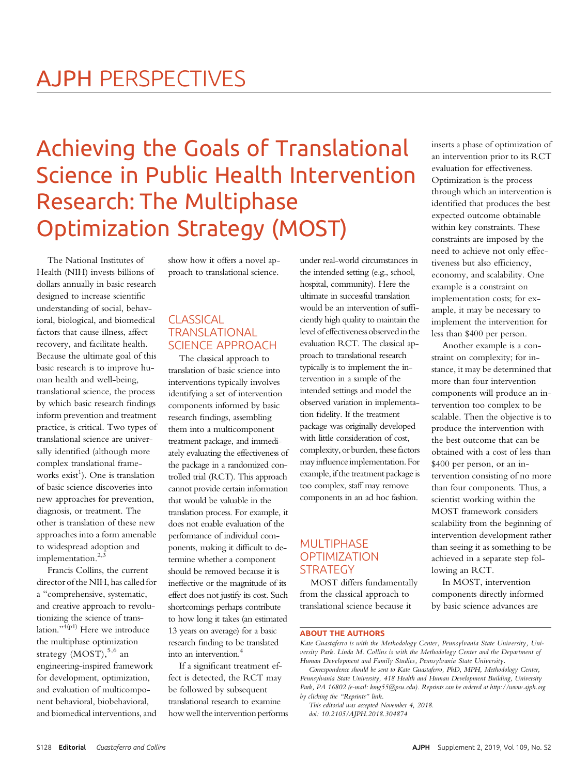# Achieving the Goals of Translational Research: The Multiphase Ontimization Strategy (M Optimization Strategy (MOST)

The National Institutes of Health (NIH) invests billions of dollars annually in basic research designed to increase scientific understanding of social, behavioral, biological, and biomedical factors that cause illness, affect recovery, and facilitate health. Because the ultimate goal of this basic research is to improve human health and well-being, translational science, the process by which basic research findings inform prevention and treatment practice, is critical. Two types of translational science are universally identified (although more complex translational frameworks exist<sup>1</sup>). One is translation of basic science discoveries into new approaches for prevention, diagnosis, or treatment. The other is translation of these new approaches into a form amenable to widespread adoption and implementation. $2,3$ 

Francis Collins, the current director of the NIH, has called for a "comprehensive, systematic, and creative approach to revolutionizing the science of translation." $\frac{4(p1)}{p}$  Here we introduce the multiphase optimization strategy  $(MOST)$ , 5,6 an engineering-inspired framework for development, optimization, and evaluation of multicomponent behavioral, biobehavioral, and biomedical interventions, and

show how it offers a novel approach to translational science.

# CLASSICAL TRANSLATIONAL SCIENCE APPROACH

The classical approach to translation of basic science into interventions typically involves identifying a set of intervention components informed by basic research findings, assembling them into a multicomponent treatment package, and immediately evaluating the effectiveness of the package in a randomized controlled trial (RCT). This approach cannot provide certain information that would be valuable in the translation process. For example, it does not enable evaluation of the performance of individual components, making it difficult to determine whether a component should be removed because it is ineffective or the magnitude of its effect does not justify its cost. Such shortcomings perhaps contribute to how long it takes (an estimated 13 years on average) for a basic research finding to be translated into an intervention.<sup>4</sup>

If a significant treatment effect is detected, the RCT may be followed by subsequent translational research to examine how well the intervention performs

under real-world circumstances in the intended setting (e.g., school, hospital, community). Here the ultimate in successful translation would be an intervention of sufficiently high quality to maintain the level of effectiveness observed in the evaluation RCT. The classical approach to translational research typically is to implement the intervention in a sample of the intended settings and model the observed variation in implementation fidelity. If the treatment package was originally developed with little consideration of cost, complexity, or burden, these factors may influence implementation. For example, if the treatment package is too complex, staff may remove components in an ad hoc fashion.

# **MULTIPHASE OPTIMIZATION** STRATEGY

MOST differs fundamentally from the classical approach to translational science because it

inserts a phase of optimization of an intervention prior to its RCT evaluation for effectiveness. Optimization is the process through which an intervention is identified that produces the best expected outcome obtainable within key constraints. These constraints are imposed by the need to achieve not only effectiveness but also efficiency, economy, and scalability. One example is a constraint on implementation costs; for example, it may be necessary to implement the intervention for less than \$400 per person.

Another example is a constraint on complexity; for instance, it may be determined that more than four intervention components will produce an intervention too complex to be scalable. Then the objective is to produce the intervention with the best outcome that can be obtained with a cost of less than \$400 per person, or an intervention consisting of no more than four components. Thus, a scientist working within the MOST framework considers scalability from the beginning of intervention development rather than seeing it as something to be achieved in a separate step following an RCT.

In MOST, intervention components directly informed by basic science advances are

## ABOUT THE AUTHORS

Kate Guastaferro is with the Methodology Center, Pennsylvania State University, University Park. Linda M. Collins is with the Methodology Center and the Department of Human Development and Family Studies, Pennsylvania State University.

Correspondence should be sent to Kate Guastaferro, PhD, MPH, Methodology Center, Pennsylvania State University, 418 Health and Human Development Building, University Park, PA 16802 (e-mail: [kmg55@psu.edu\)](mailto:kmg55@psu.edu). Reprints can be ordered at<http://www.ajph.org> by clicking the "Reprints" link.

This editorial was accepted November 4, 2018. doi: 10.2105/AJPH.2018.304874